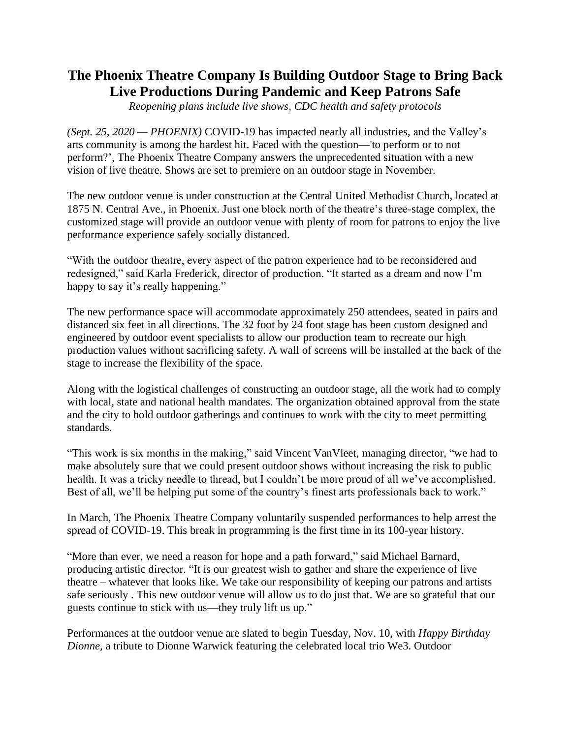## **The Phoenix Theatre Company Is Building Outdoor Stage to Bring Back Live Productions During Pandemic and Keep Patrons Safe**

*Reopening plans include live shows, CDC health and safety protocols*

*(Sept. 25, 2020 — PHOENIX)* COVID-19 has impacted nearly all industries, and the Valley's arts community is among the hardest hit. Faced with the question—'to perform or to not perform?', The Phoenix Theatre Company answers the unprecedented situation with a new vision of live theatre. Shows are set to premiere on an outdoor stage in November.

The new outdoor venue is under construction at the Central United Methodist Church, located at 1875 N. Central Ave., in Phoenix. Just one block north of the theatre's three-stage complex, the customized stage will provide an outdoor venue with plenty of room for patrons to enjoy the live performance experience safely socially distanced.

"With the outdoor theatre, every aspect of the patron experience had to be reconsidered and redesigned," said Karla Frederick, director of production. "It started as a dream and now I'm happy to say it's really happening."

The new performance space will accommodate approximately 250 attendees, seated in pairs and distanced six feet in all directions. The 32 foot by 24 foot stage has been custom designed and engineered by outdoor event specialists to allow our production team to recreate our high production values without sacrificing safety. A wall of screens will be installed at the back of the stage to increase the flexibility of the space.

Along with the logistical challenges of constructing an outdoor stage, all the work had to comply with local, state and national health mandates. The organization obtained approval from the state and the city to hold outdoor gatherings and continues to work with the city to meet permitting standards.

"This work is six months in the making," said Vincent VanVleet, managing director, "we had to make absolutely sure that we could present outdoor shows without increasing the risk to public health. It was a tricky needle to thread, but I couldn't be more proud of all we've accomplished. Best of all, we'll be helping put some of the country's finest arts professionals back to work."

In March, The Phoenix Theatre Company voluntarily suspended performances to help arrest the spread of COVID-19. This break in programming is the first time in its 100-year history.

"More than ever, we need a reason for hope and a path forward," said Michael Barnard, producing artistic director. "It is our greatest wish to gather and share the experience of live theatre – whatever that looks like. We take our responsibility of keeping our patrons and artists safe seriously . This new outdoor venue will allow us to do just that. We are so grateful that our guests continue to stick with us—they truly lift us up."

Performances at the outdoor venue are slated to begin Tuesday, Nov. 10, with *Happy Birthday Dionne,* a tribute to Dionne Warwick featuring the celebrated local trio We3. Outdoor